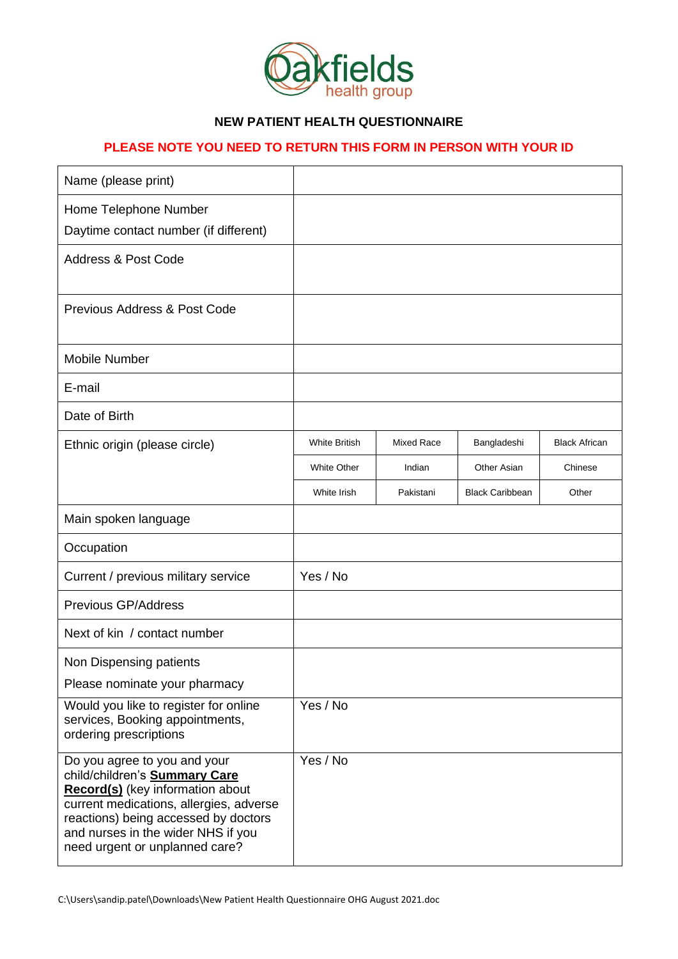

## **NEW PATIENT HEALTH QUESTIONNAIRE**

## **PLEASE NOTE YOU NEED TO RETURN THIS FORM IN PERSON WITH YOUR ID**

| Name (please print)                                                                                                                                                                                                                                                        |                      |                   |                        |                      |
|----------------------------------------------------------------------------------------------------------------------------------------------------------------------------------------------------------------------------------------------------------------------------|----------------------|-------------------|------------------------|----------------------|
| Home Telephone Number                                                                                                                                                                                                                                                      |                      |                   |                        |                      |
| Daytime contact number (if different)                                                                                                                                                                                                                                      |                      |                   |                        |                      |
| <b>Address &amp; Post Code</b>                                                                                                                                                                                                                                             |                      |                   |                        |                      |
| <b>Previous Address &amp; Post Code</b>                                                                                                                                                                                                                                    |                      |                   |                        |                      |
| <b>Mobile Number</b>                                                                                                                                                                                                                                                       |                      |                   |                        |                      |
| E-mail                                                                                                                                                                                                                                                                     |                      |                   |                        |                      |
| Date of Birth                                                                                                                                                                                                                                                              |                      |                   |                        |                      |
| Ethnic origin (please circle)                                                                                                                                                                                                                                              | <b>White British</b> | <b>Mixed Race</b> | Bangladeshi            | <b>Black African</b> |
|                                                                                                                                                                                                                                                                            | <b>White Other</b>   | Indian            | Other Asian            | Chinese              |
|                                                                                                                                                                                                                                                                            | White Irish          | Pakistani         | <b>Black Caribbean</b> | Other                |
| Main spoken language                                                                                                                                                                                                                                                       |                      |                   |                        |                      |
| Occupation                                                                                                                                                                                                                                                                 |                      |                   |                        |                      |
| Current / previous military service                                                                                                                                                                                                                                        | Yes / No             |                   |                        |                      |
| Previous GP/Address                                                                                                                                                                                                                                                        |                      |                   |                        |                      |
| Next of kin / contact number                                                                                                                                                                                                                                               |                      |                   |                        |                      |
| Non Dispensing patients                                                                                                                                                                                                                                                    |                      |                   |                        |                      |
| Please nominate your pharmacy                                                                                                                                                                                                                                              |                      |                   |                        |                      |
| Would you like to register for online<br>services, Booking appointments,<br>ordering prescriptions                                                                                                                                                                         | Yes / No             |                   |                        |                      |
| Do you agree to you and your<br>child/children's <b>Summary Care</b><br><b>Record(s)</b> (key information about<br>current medications, allergies, adverse<br>reactions) being accessed by doctors<br>and nurses in the wider NHS if you<br>need urgent or unplanned care? | Yes / No             |                   |                        |                      |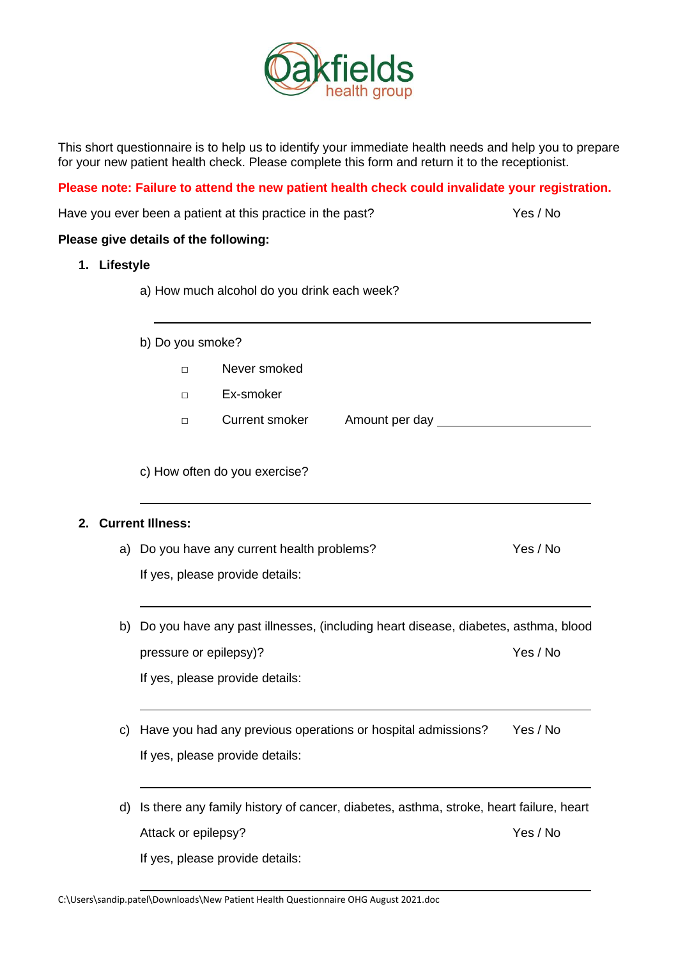

This short questionnaire is to help us to identify your immediate health needs and help you to prepare for your new patient health check. Please complete this form and return it to the receptionist.

**Please note: Failure to attend the new patient health check could invalidate your registration.**

|              | Have you ever been a patient at this practice in the past?                            | Yes / No |  |  |  |  |  |
|--------------|---------------------------------------------------------------------------------------|----------|--|--|--|--|--|
|              | Please give details of the following:                                                 |          |  |  |  |  |  |
| 1. Lifestyle |                                                                                       |          |  |  |  |  |  |
|              | a) How much alcohol do you drink each week?                                           |          |  |  |  |  |  |
|              | b) Do you smoke?                                                                      |          |  |  |  |  |  |
|              | Never smoked<br>$\Box$                                                                |          |  |  |  |  |  |
|              | Ex-smoker<br>$\Box$                                                                   |          |  |  |  |  |  |
|              | Current smoker<br>Amount per day _____________<br>$\Box$                              |          |  |  |  |  |  |
|              | c) How often do you exercise?                                                         |          |  |  |  |  |  |
| 2.           | <b>Current Illness:</b>                                                               |          |  |  |  |  |  |
|              | a) Do you have any current health problems?                                           | Yes / No |  |  |  |  |  |
|              | If yes, please provide details:                                                       |          |  |  |  |  |  |
|              | b) Do you have any past illnesses, (including heart disease, diabetes, asthma, blood  |          |  |  |  |  |  |
|              | pressure or epilepsy)?                                                                | Yes / No |  |  |  |  |  |
|              | If yes, please provide details:                                                       |          |  |  |  |  |  |
| C)           | Have you had any previous operations or hospital admissions?<br>Yes / No              |          |  |  |  |  |  |
|              | If yes, please provide details:                                                       |          |  |  |  |  |  |
| d)           | Is there any family history of cancer, diabetes, asthma, stroke, heart failure, heart |          |  |  |  |  |  |
|              | Attack or epilepsy?                                                                   | Yes / No |  |  |  |  |  |
|              | If yes, please provide details:                                                       |          |  |  |  |  |  |